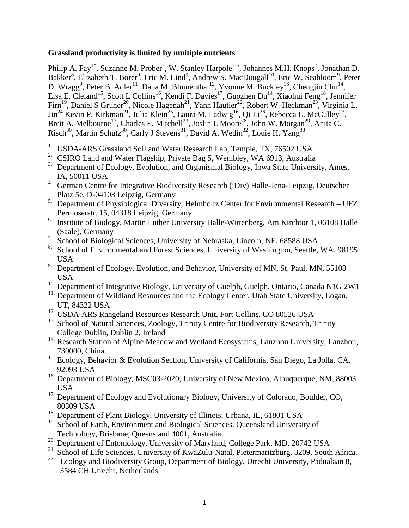## **Grassland productivity is limited by multiple nutrients**

Philip A. Fay<sup>1\*</sup>, Suzanne M. Prober<sup>2</sup>, W. Stanley Harpole<sup>3-6</sup>, Johannes M.H. Knops<sup>7</sup>, Jonathan D. Bakker<sup>8</sup>, Elizabeth T. Borer<sup>9</sup>, Eric M. Lind<sup>9</sup>, Andrew S. MacDougall<sup>10</sup>, Eric W. Seabloom<sup>9</sup>, Peter D. Wragg<sup>9</sup>, Peter B. Adler<sup>11</sup>, Dana M. Blumenthal<sup>12</sup>, Yvonne M. Buckley<sup>13</sup>, Chengjin Chu<sup>14</sup>, Elsa E. Cleland<sup>15</sup>, Scott L Collins<sup>16</sup>, Kendi F. Davies<sup>17</sup>, Guozhen Du<sup>14</sup>, Xiaohui Feng<sup>18</sup>, Jennifer Firn<sup>19</sup>, Daniel S Gruner<sup>20</sup>, Nicole Hagenah<sup>21</sup>, Yann Hautier<sup>22</sup>, Robert W. Heckman<sup>23</sup>, Virginia L. Jin<sup>24</sup> Kevin P. Kirkman<sup>21</sup>, Julia Klein<sup>25</sup>, Laura M. Ladwig<sup>16</sup>, Qi Li<sup>26</sup>, Rebecca L. McCulley<sup>27</sup>, Brett A. Melbourne<sup>17</sup>, Charles E. Mitchell<sup>23</sup>, Joslin L Moore<sup>28</sup>, John W. Morgan<sup>29</sup>, Anita C. Risch<sup>30</sup>, Martin Schütz<sup>30</sup>, Carly J Stevens<sup>31</sup>, David A. Wedin<sup>32</sup>, Louie H. Yang<sup>33</sup>

- <sup>1.</sup> USDA-ARS Grassland Soil and Water Research Lab, Temple, TX, 76502 USA
- <sup>2.</sup> CSIRO Land and Water Flagship, Private Bag 5, Wembley, WA 6913, Australia
- <sup>3.</sup> Department of Ecology, Evolution, and Organismal Biology, Iowa State University, Ames, IA, 50011 USA
- <sup>4.</sup> German Centre for Integrative Biodiversity Research (iDiv) Halle-Jena-Leipzig, Deutscher Platz 5e, D-04103 Leipzig, Germany
- <sup>5.</sup> Department of Physiological Diversity, Helmholtz Center for Environmental Research UFZ, Permoserstr. 15, 04318 Leipzig, Germany
- <sup>6.</sup> Institute of Biology, Martin Luther University Halle-Wittenberg, Am Kirchtor 1, 06108 Halle (Saale), Germany
- <sup>7.</sup> School of Biological Sciences, University of Nebraska, Lincoln, NE, 68588 USA
- <sup>8.</sup> School of Environmental and Forest Sciences, University of Washington, Seattle, WA, 98195 USA
- <sup>9.</sup> Department of Ecology, Evolution, and Behavior, University of MN, St. Paul, MN, 55108 USA
- <sup>10.</sup> Department of Integrative Biology, University of Guelph, Guelph, Ontario, Canada N1G 2W1
- <sup>11.</sup> Department of Wildland Resources and the Ecology Center, Utah State University, Logan, UT, 84322 USA
- <sup>12.</sup> USDA-ARS Rangeland Resources Research Unit, Fort Collins, CO 80526 USA
- <sup>13.</sup> School of Natural Sciences, Zoology, Trinity Centre for Biodiversity Research, Trinity College Dublin, Dublin 2, Ireland
- <sup>14.</sup> Research Station of Alpine Meadow and Wetland Ecosystems, Lanzhou University, Lanzhou, 730000, China.
- 15. Ecology, Behavior & Evolution Section, University of California, San Diego, La Jolla, CA, 92093 USA
- <sup>16.</sup> Department of Biology, MSC03-2020, University of New Mexico, Albuquerque, NM, 88003 USA
- <sup>17.</sup> Department of Ecology and Evolutionary Biology, University of Colorado, Boulder, CO, 80309 USA
- <sup>18.</sup> Department of Plant Biology, University of Illinois, Urbana, IL, 61801 USA
- <sup>19</sup>. School of Earth, Environment and Biological Sciences, Queensland University of Technology, Brisbane, Queensland 4001, Australia
- <sup>20.</sup> Department of Entomology, University of Maryland, College Park, MD, 20742 USA
- <sup>21.</sup> School of Life Sciences, University of KwaZulu-Natal, Pietermaritzburg, 3209, South Africa.
- <sup>22.</sup> Ecology and Biodiversity Group, Department of Biology, Utrecht University, Padualaan 8, 3584 CH Utrecht, Netherlands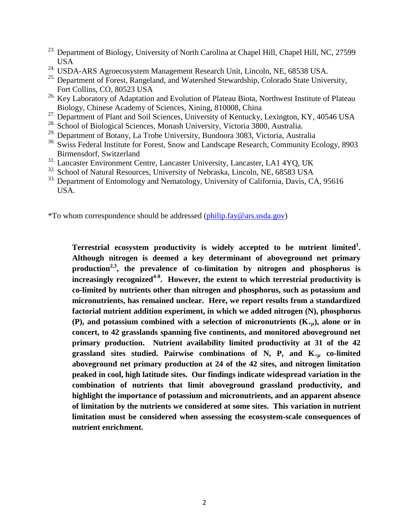- <sup>23.</sup> Department of Biology, University of North Carolina at Chapel Hill, Chapel Hill, NC, 27599 USA
- <sup>24.</sup> USDA-ARS Agroecosystem Management Research Unit, Lincoln, NE, 68538 USA.
- <sup>25.</sup> Department of Forest, Rangeland, and Watershed Stewardship, Colorado State University, Fort Collins, CO, 80523 USA
- <sup>26.</sup> Key Laboratory of Adaptation and Evolution of Plateau Biota, Northwest Institute of Plateau Biology, Chinese Academy of Sciences, Xining, 810008, China
- <sup>27.</sup> Department of Plant and Soil Sciences, University of Kentucky, Lexington, KY, 40546 USA
- 28. School of Biological Sciences, Monash University, Victoria 3800, Australia.
- 29. Department of Botany, La Trobe University, Bundoora 3083, Victoria, Australia
- <sup>30.</sup> Swiss Federal Institute for Forest, Snow and Landscape Research, Community Ecology, 8903 Birmensdorf, Switzerland
- 31. Lancaster Environment Centre, Lancaster University, Lancaster, LA1 4YQ, UK
- <sup>32.</sup> School of Natural Resources, University of Nebraska, Lincoln, NE, 68583 USA
- <sup>33.</sup> Department of Entomology and Nematology, University of California, Davis, CA, 95616 USA.

\*To whom correspondence should be addressed [\(philip.fay@ars.usda.gov\)](mailto:philip.fay@ars.usda.gov)

**Terrestrial ecosystem productivity is widely accepted to be nutrient limited<sup>1</sup> . Although nitrogen is deemed a key determinant of aboveground net primary production2,3, the prevalence of co-limitation by nitrogen and phosphorus is increasingly recognized4-8 . However, the extent to which terrestrial productivity is co-limited by nutrients other than nitrogen and phosphorus, such as potassium and micronutrients, has remained unclear. Here, we report results from a standardized factorial nutrient addition experiment, in which we added nitrogen (N), phosphorus (P), and potassium combined with a selection of micronutrients (K***+µ***), alone or in concert, to 42 grasslands spanning five continents, and monitored aboveground net primary production. Nutrient availability limited productivity at 31 of the 42 grassland sites studied. Pairwise combinations of N, P, and K***+µ* **co-limited aboveground net primary production at 24 of the 42 sites, and nitrogen limitation peaked in cool, high latitude sites. Our findings indicate widespread variation in the combination of nutrients that limit aboveground grassland productivity, and highlight the importance of potassium and micronutrients, and an apparent absence of limitation by the nutrients we considered at some sites. This variation in nutrient limitation must be considered when assessing the ecosystem-scale consequences of nutrient enrichment.**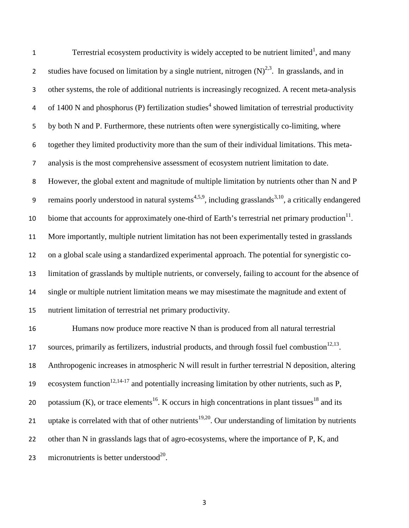Terrestrial ecosystem productivity is widely accepted to be nutrient limited<sup>1</sup>, and many studies have focused on limitation by a single nutrient, nitrogen  $(N)^{2,3}$ . In grasslands, and in other systems, the role of additional nutrients is increasingly recognized. A recent meta-analysis 4 of 1400 N and phosphorus (P) fertilization studies<sup>4</sup> showed limitation of terrestrial productivity by both N and P. Furthermore, these nutrients often were synergistically co-limiting, where together they limited productivity more than the sum of their individual limitations. This meta- analysis is the most comprehensive assessment of ecosystem nutrient limitation to date. However, the global extent and magnitude of multiple limitation by nutrients other than N and P 9 remains poorly understood in natural systems<sup>4,5,9</sup>, including grasslands<sup>3,10</sup>, a critically endangered 10 biome that accounts for approximately one-third of Earth's terrestrial net primary production $11$ . More importantly, multiple nutrient limitation has not been experimentally tested in grasslands on a global scale using a standardized experimental approach. The potential for synergistic co- limitation of grasslands by multiple nutrients, or conversely, failing to account for the absence of single or multiple nutrient limitation means we may misestimate the magnitude and extent of nutrient limitation of terrestrial net primary productivity. Humans now produce more reactive N than is produced from all natural terrestrial sources, primarily as fertilizers, industrial products, and through fossil fuel combustion<sup>12,13</sup>. Anthropogenic increases in atmospheric N will result in further terrestrial N deposition, altering 19 ecosystem function<sup>12,14-17</sup> and potentially increasing limitation by other nutrients, such as P,

20 potassium (K), or trace elements<sup>16</sup>. K occurs in high concentrations in plant tissues<sup>18</sup> and its 21 uptake is correlated with that of other nutrients<sup>19,20</sup>. Our understanding of limitation by nutrients

22 other than N in grasslands lags that of agro-ecosystems, where the importance of P, K, and

23 micronutrients is better understood<sup>20</sup>.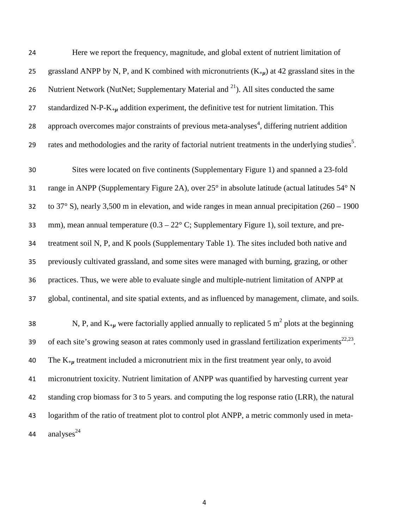| 24 | Here we report the frequency, magnitude, and global extent of nutrient limitation of                             |
|----|------------------------------------------------------------------------------------------------------------------|
| 25 | grassland ANPP by N, P, and K combined with micronutrients $(K_{+\mu})$ at 42 grassland sites in the             |
| 26 | Nutrient Network (NutNet; Supplementary Material and <sup>21</sup> ). All sites conducted the same               |
| 27 | standardized N-P- $K_{+\mu}$ addition experiment, the definitive test for nutrient limitation. This              |
| 28 | approach overcomes major constraints of previous meta-analyses <sup>4</sup> , differing nutrient addition        |
| 29 | rates and methodologies and the rarity of factorial nutrient treatments in the underlying studies <sup>5</sup> . |
| 30 | Sites were located on five continents (Supplementary Figure 1) and spanned a 23-fold                             |
| 31 | range in ANPP (Supplementary Figure 2A), over 25° in absolute latitude (actual latitudes 54° N                   |
| 32 | to 37° S), nearly 3,500 m in elevation, and wide ranges in mean annual precipitation $(260 - 1900)$              |
| 33 | mm), mean annual temperature $(0.3 - 22^{\circ} \text{ C})$ ; Supplementary Figure 1), soil texture, and pre-    |
| 34 | treatment soil N, P, and K pools (Supplementary Table 1). The sites included both native and                     |
| 35 | previously cultivated grassland, and some sites were managed with burning, grazing, or other                     |
| 36 | practices. Thus, we were able to evaluate single and multiple-nutrient limitation of ANPP at                     |
| 37 | global, continental, and site spatial extents, and as influenced by management, climate, and soils.              |
| 38 | N, P, and $K_{+}\mu$ were factorially applied annually to replicated 5 m <sup>2</sup> plots at the beginning     |
| 39 | of each site's growing season at rates commonly used in grassland fertilization experiments <sup>22,23</sup> .   |
| 40 | The $K_{+}\mu$ treatment included a micronutrient mix in the first treatment year only, to avoid                 |
| 41 | micronutrient toxicity. Nutrient limitation of ANPP was quantified by harvesting current year                    |
| 42 | standing crop biomass for 3 to 5 years. and computing the log response ratio (LRR), the natural                  |
| 43 | logarithm of the ratio of treatment plot to control plot ANPP, a metric commonly used in meta-                   |
| 44 | analyses $^{24}$                                                                                                 |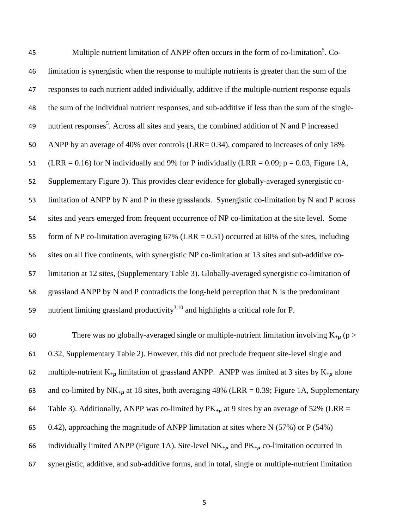| 45 | Multiple nutrient limitation of ANPP often occurs in the form of co-limitation <sup>5</sup> . Co-        |
|----|----------------------------------------------------------------------------------------------------------|
| 46 | limitation is synergistic when the response to multiple nutrients is greater than the sum of the         |
| 47 | responses to each nutrient added individually, additive if the multiple-nutrient response equals         |
| 48 | the sum of the individual nutrient responses, and sub-additive if less than the sum of the single-       |
| 49 | nutrient responses <sup>5</sup> . Across all sites and years, the combined addition of N and P increased |
| 50 | ANPP by an average of 40% over controls (LRR= 0.34), compared to increases of only 18%                   |
| 51 | (LRR = 0.16) for N individually and 9% for P individually (LRR = 0.09; $p = 0.03$ , Figure 1A,           |
| 52 | Supplementary Figure 3). This provides clear evidence for globally-averaged synergistic co-              |
| 53 | limitation of ANPP by N and P in these grasslands. Synergistic co-limitation by N and P across           |
| 54 | sites and years emerged from frequent occurrence of NP co-limitation at the site level. Some             |
| 55 | form of NP co-limitation averaging $67\%$ (LRR = 0.51) occurred at 60% of the sites, including           |
| 56 | sites on all five continents, with synergistic NP co-limitation at 13 sites and sub-additive co-         |
| 57 | limitation at 12 sites, (Supplementary Table 3). Globally-averaged synergistic co-limitation of          |
| 58 | grassland ANPP by N and P contradicts the long-held perception that N is the predominant                 |
| 59 | nutrient limiting grassland productivity <sup>3,10</sup> and highlights a critical role for P.           |
|    |                                                                                                          |

60 There was no globally-averaged single or multiple-nutrient limitation involving  $K_{+\mu}$  (p > 0.32, Supplementary Table 2). However, this did not preclude frequent site-level single and 62 multiple-nutrient K<sub>+µ</sub> limitation of grassland ANPP. ANPP was limited at 3 sites by K<sub>+µ</sub> alone 63 and co-limited by  $NK_{+\mu}$  at 18 sites, both averaging 48% (LRR = 0.39; Figure 1A, Supplementary 64 Table 3). Additionally, ANPP was co-limited by  $PK_{+\mu}$  at 9 sites by an average of 52% (LRR = 0.42), approaching the magnitude of ANPP limitation at sites where N (57%) or P (54%) individually limited ANPP (Figure 1A). Site-level NK*+µ* and PK*+µ* co-limitation occurred in synergistic, additive, and sub-additive forms, and in total, single or multiple-nutrient limitation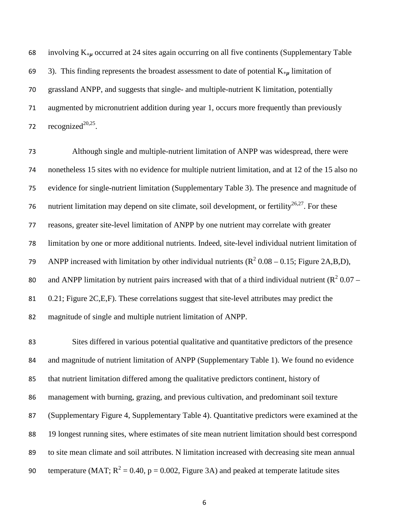involving K*+µ* occurred at 24 sites again occurring on all five continents (Supplementary Table 3). This finding represents the broadest assessment to date of potential K*+µ* limitation of grassland ANPP, and suggests that single- and multiple-nutrient K limitation, potentially augmented by micronutrient addition during year 1, occurs more frequently than previously 72 recognized<sup>20,25</sup>.

 Although single and multiple-nutrient limitation of ANPP was widespread, there were nonetheless 15 sites with no evidence for multiple nutrient limitation, and at 12 of the 15 also no evidence for single-nutrient limitation (Supplementary Table 3). The presence and magnitude of 76 nutrient limitation may depend on site climate, soil development, or fertility<sup>26,27</sup>. For these reasons, greater site-level limitation of ANPP by one nutrient may correlate with greater limitation by one or more additional nutrients. Indeed, site-level individual nutrient limitation of 79 ANPP increased with limitation by other individual nutrients  $(R^2 0.08 - 0.15$ ; Figure 2A,B,D), 80 and ANPP limitation by nutrient pairs increased with that of a third individual nutrient ( $R^2$  0.07 – 0.21; Figure 2C,E,F). These correlations suggest that site-level attributes may predict the magnitude of single and multiple nutrient limitation of ANPP.

 Sites differed in various potential qualitative and quantitative predictors of the presence and magnitude of nutrient limitation of ANPP (Supplementary Table 1). We found no evidence that nutrient limitation differed among the qualitative predictors continent, history of management with burning, grazing, and previous cultivation, and predominant soil texture (Supplementary Figure 4, Supplementary Table 4). Quantitative predictors were examined at the 19 longest running sites, where estimates of site mean nutrient limitation should best correspond to site mean climate and soil attributes. N limitation increased with decreasing site mean annual 90 temperature (MAT;  $R^2 = 0.40$ , p = 0.002, Figure 3A) and peaked at temperate latitude sites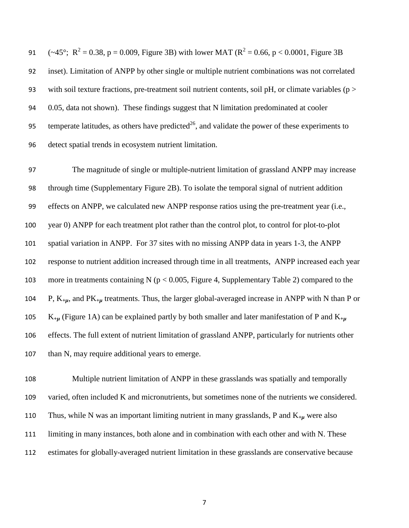$(-45^\circ; \text{ R}^2 = 0.38, \text{ p} = 0.009, \text{ Figure 3B})$  with lower MAT  $(\text{R}^2 = 0.66, \text{ p} < 0.0001, \text{ Figure 3B})$  inset). Limitation of ANPP by other single or multiple nutrient combinations was not correlated 93 with soil texture fractions, pre-treatment soil nutrient contents, soil pH, or climate variables ( $p >$  0.05, data not shown). These findings suggest that N limitation predominated at cooler 95 temperate latitudes, as others have predicted<sup>26</sup>, and validate the power of these experiments to detect spatial trends in ecosystem nutrient limitation.

 The magnitude of single or multiple-nutrient limitation of grassland ANPP may increase through time (Supplementary Figure 2B). To isolate the temporal signal of nutrient addition effects on ANPP, we calculated new ANPP response ratios using the pre-treatment year (i.e., year 0) ANPP for each treatment plot rather than the control plot, to control for plot-to-plot spatial variation in ANPP. For 37 sites with no missing ANPP data in years 1-3, the ANPP response to nutrient addition increased through time in all treatments, ANPP increased each year more in treatments containing N (p < 0.005, Figure 4, Supplementary Table 2) compared to the P, K*+µ*, and PK*+µ* treatments. Thus, the larger global-averaged increase in ANPP with N than P or K*+µ* (Figure 1A) can be explained partly by both smaller and later manifestation of P and K*+µ* effects. The full extent of nutrient limitation of grassland ANPP, particularly for nutrients other 107 than N, may require additional years to emerge.

 Multiple nutrient limitation of ANPP in these grasslands was spatially and temporally varied, often included K and micronutrients, but sometimes none of the nutrients we considered. Thus, while N was an important limiting nutrient in many grasslands, P and K*+µ* were also limiting in many instances, both alone and in combination with each other and with N. These estimates for globally-averaged nutrient limitation in these grasslands are conservative because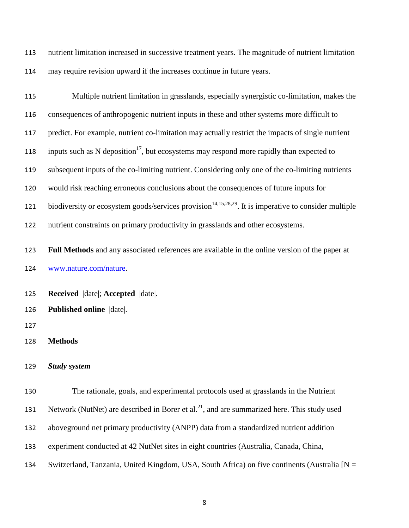nutrient limitation increased in successive treatment years. The magnitude of nutrient limitation may require revision upward if the increases continue in future years.

| 115 | Multiple nutrient limitation in grasslands, especially synergistic co-limitation, makes the                       |
|-----|-------------------------------------------------------------------------------------------------------------------|
| 116 | consequences of anthropogenic nutrient inputs in these and other systems more difficult to                        |
| 117 | predict. For example, nutrient co-limitation may actually restrict the impacts of single nutrient                 |
| 118 | inputs such as N deposition <sup>17</sup> , but ecosystems may respond more rapidly than expected to              |
| 119 | subsequent inputs of the co-limiting nutrient. Considering only one of the co-limiting nutrients                  |
| 120 | would risk reaching erroneous conclusions about the consequences of future inputs for                             |
| 121 | biodiversity or ecosystem goods/services provision <sup>14,15,28,29</sup> . It is imperative to consider multiple |
| 122 | nutrient constraints on primary productivity in grasslands and other ecosystems.                                  |
| 123 | Full Methods and any associated references are available in the online version of the paper at                    |
| 124 | www.nature.com/nature.                                                                                            |
| 125 | Received  date ; Accepted  date .                                                                                 |
| 126 | Published online  date .                                                                                          |
| 127 |                                                                                                                   |
| 128 | <b>Methods</b>                                                                                                    |
| 129 | <b>Study system</b>                                                                                               |
| 130 | The rationale, goals, and experimental protocols used at grasslands in the Nutrient                               |
| 131 | Network (NutNet) are described in Borer et al. <sup>21</sup> , and are summarized here. This study used           |
| 132 | aboveground net primary productivity (ANPP) data from a standardized nutrient addition                            |
| 133 | experiment conducted at 42 NutNet sites in eight countries (Australia, Canada, China,                             |
| 134 | Switzerland, Tanzania, United Kingdom, USA, South Africa) on five continents (Australia [N =                      |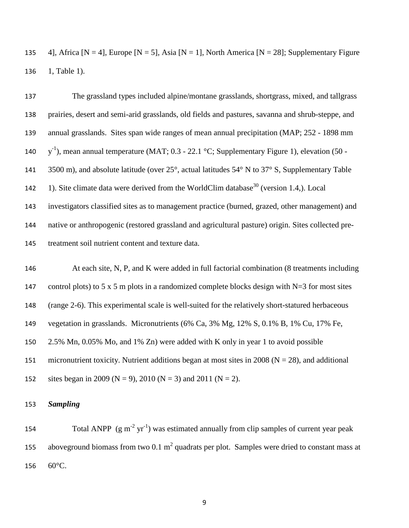135 4], Africa  $[N = 4]$ , Europe  $[N = 5]$ , Asia  $[N = 1]$ , North America  $[N = 28]$ ; Supplementary Figure 136 1, Table 1).

 The grassland types included alpine/montane grasslands, shortgrass, mixed, and tallgrass prairies, desert and semi-arid grasslands, old fields and pastures, savanna and shrub-steppe, and annual grasslands. Sites span wide ranges of mean annual precipitation (MAP; 252 - 1898 mm  $y^{-1}$ ), mean annual temperature (MAT; 0.3 - 22.1 °C; Supplementary Figure 1), elevation (50 -141 3500 m), and absolute latitude (over 25°, actual latitudes 54° N to 37° S, Supplementary Table 142 1). Site climate data were derived from the WorldClim database<sup>30</sup> (version 1.4,). Local investigators classified sites as to management practice (burned, grazed, other management) and native or anthropogenic (restored grassland and agricultural pasture) origin. Sites collected pre-treatment soil nutrient content and texture data.

146 At each site, N, P, and K were added in full factorial combination (8 treatments including 147 control plots) to 5 x 5 m plots in a randomized complete blocks design with N=3 for most sites 148 (range 2-6). This experimental scale is well-suited for the relatively short-statured herbaceous 149 vegetation in grasslands. Micronutrients (6% Ca, 3% Mg, 12% S, 0.1% B, 1% Cu, 17% Fe, 150 2.5% Mn, 0.05% Mo, and 1% Zn) were added with K only in year 1 to avoid possible 151 micronutrient toxicity. Nutrient additions began at most sites in 2008 ( $N = 28$ ), and additional 152 sites began in 2009 (N = 9), 2010 (N = 3) and 2011 (N = 2).

### 153 *Sampling*

154 Total ANPP  $(g m^{-2} yr^{-1})$  was estimated annually from clip samples of current year peak 155 aboveground biomass from two 0.1  $m^2$  quadrats per plot. Samples were dried to constant mass at 156 60°C.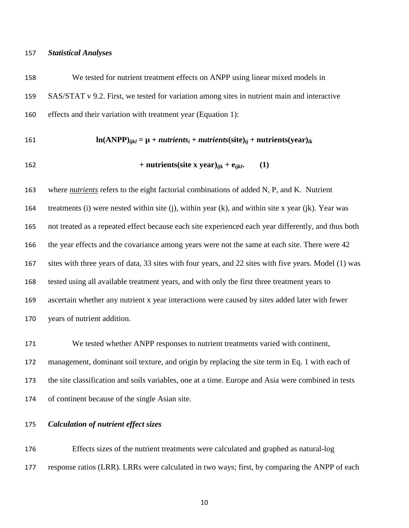#### *Statistical Analyses*

 We tested for nutrient treatment effects on ANPP using linear mixed models in SAS/STAT v 9.2. First, we tested for variation among sites in nutrient main and interactive effects and their variation with treatment year (Equation 1):

#### 161 **ln**(ANPP)<sub>*iikl*</sub> =  $\mu$  + *nutrients*<sub>*i*</sub> + *nutrients*(site)<sub>*ii*</sub> + **nutrients**(year)<sub>*ik*</sub>

162 + nutrients(size x year)<sub>ijk</sub> + 
$$
e_{ijkl}
$$
. (1)

 where *nutrients* refers to the eight factorial combinations of added N, P, and K. Nutrient treatments (i) were nested within site (j), within year (k), and within site x year (jk). Year was not treated as a repeated effect because each site experienced each year differently, and thus both the year effects and the covariance among years were not the same at each site. There were 42 sites with three years of data, 33 sites with four years, and 22 sites with five years. Model (1) was tested using all available treatment years, and with only the first three treatment years to ascertain whether any nutrient x year interactions were caused by sites added later with fewer years of nutrient addition.

 We tested whether ANPP responses to nutrient treatments varied with continent, management, dominant soil texture, and origin by replacing the site term in Eq. 1 with each of the site classification and soils variables, one at a time. Europe and Asia were combined in tests of continent because of the single Asian site.

#### *Calculation of nutrient effect sizes*

 Effects sizes of the nutrient treatments were calculated and graphed as natural-log response ratios (LRR). LRRs were calculated in two ways; first, by comparing the ANPP of each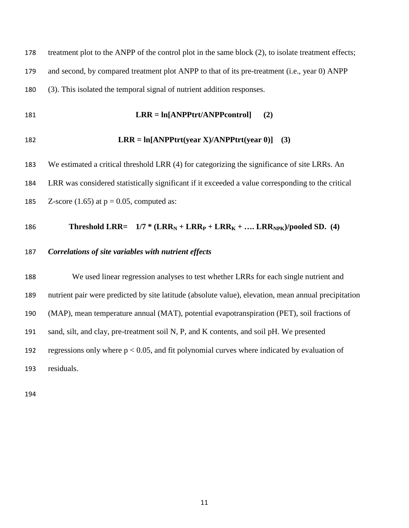178 treatment plot to the ANPP of the control plot in the same block (2), to isolate treatment effects; and second, by compared treatment plot ANPP to that of its pre-treatment (i.e., year 0) ANPP (3). This isolated the temporal signal of nutrient addition responses.

**LRR = ln[ANPPtrt/ANPPcontrol] (2)**

$$
182 \qquad \qquad LRR = \ln[ANPPtr(t) \text{ear } X)/ANDPtr(t) \text{ear } 0)] \quad (3)
$$

 We estimated a critical threshold LRR (4) for categorizing the significance of site LRRs. An LRR was considered statistically significant if it exceeded a value corresponding to the critical 185 Z-score (1.65) at  $p = 0.05$ , computed as:

#### 186 **Threshold LRR=**  $1/7 * (LRR_N + LRR_F + LRR_K + ... LRR_{NPK})/p$ ooled SD. (4)

### *Correlations of site variables with nutrient effects*

 We used linear regression analyses to test whether LRRs for each single nutrient and nutrient pair were predicted by site latitude (absolute value), elevation, mean annual precipitation (MAP), mean temperature annual (MAT), potential evapotranspiration (PET), soil fractions of sand, silt, and clay, pre-treatment soil N, P, and K contents, and soil pH. We presented 192 regressions only where  $p < 0.05$ , and fit polynomial curves where indicated by evaluation of residuals.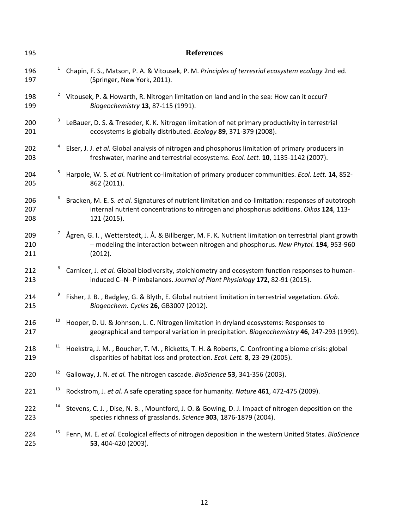| 195               |                | <b>References</b>                                                                                                                                                                                             |
|-------------------|----------------|---------------------------------------------------------------------------------------------------------------------------------------------------------------------------------------------------------------|
| 196<br>197        | $\mathbf{1}$   | Chapin, F. S., Matson, P. A. & Vitousek, P. M. Principles of terresrial ecosystem ecology 2nd ed.<br>(Springer, New York, 2011).                                                                              |
| 198<br>199        | $\overline{a}$ | Vitousek, P. & Howarth, R. Nitrogen limitation on land and in the sea: How can it occur?<br>Biogeochemistry 13, 87-115 (1991).                                                                                |
| 200<br>201        | 3              | LeBauer, D. S. & Treseder, K. K. Nitrogen limitation of net primary productivity in terrestrial<br>ecosystems is globally distributed. Ecology 89, 371-379 (2008).                                            |
| 202<br>203        |                | Elser, J. J. et al. Global analysis of nitrogen and phosphorus limitation of primary producers in<br>freshwater, marine and terrestrial ecosystems. Ecol. Lett. 10, 1135-1142 (2007).                         |
| 204<br>205        | 5              | Harpole, W. S. et al. Nutrient co-limitation of primary producer communities. Ecol. Lett. 14, 852-<br>862 (2011).                                                                                             |
| 206<br>207<br>208 |                | Bracken, M. E. S. et al. Signatures of nutrient limitation and co-limitation: responses of autotroph<br>internal nutrient concentrations to nitrogen and phosphorus additions. Oikos 124, 113-<br>121 (2015). |
| 209<br>210<br>211 |                | Ågren, G. I., Wetterstedt, J. Å. & Billberger, M. F. K. Nutrient limitation on terrestrial plant growth<br>- modeling the interaction between nitrogen and phosphorus. New Phytol. 194, 953-960<br>(2012).    |
| 212<br>213        | 8              | Carnicer, J. et al. Global biodiversity, stoichiometry and ecosystem function responses to human-<br>induced C-N-P imbalances. Journal of Plant Physiology 172, 82-91 (2015).                                 |
| 214<br>215        |                | Fisher, J. B., Badgley, G. & Blyth, E. Global nutrient limitation in terrestrial vegetation. Glob.<br>Biogeochem. Cycles 26, GB3007 (2012).                                                                   |
| 216<br>217        | 10             | Hooper, D. U. & Johnson, L. C. Nitrogen limitation in dryland ecosystems: Responses to<br>geographical and temporal variation in precipitation. Biogeochemistry 46, 247-293 (1999).                           |
| 218<br>219        | 11             | Hoekstra, J. M., Boucher, T. M., Ricketts, T. H. & Roberts, C. Confronting a biome crisis: global<br>disparities of habitat loss and protection. Ecol. Lett. 8, 23-29 (2005).                                 |
| 220               | 12             | Galloway, J. N. et al. The nitrogen cascade. BioScience 53, 341-356 (2003).                                                                                                                                   |
| 221               | 13             | Rockstrom, J. et al. A safe operating space for humanity. Nature 461, 472-475 (2009).                                                                                                                         |
| 222<br>223        | 14             | Stevens, C. J., Dise, N. B., Mountford, J. O. & Gowing, D. J. Impact of nitrogen deposition on the<br>species richness of grasslands. Science 303, 1876-1879 (2004).                                          |
| 224<br>225        | 15             | Fenn, M. E. et al. Ecological effects of nitrogen deposition in the western United States. BioScience<br>53, 404-420 (2003).                                                                                  |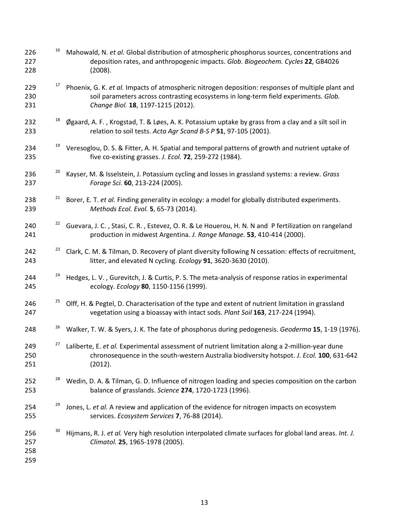| 226<br>227<br>228        | 16 | Mahowald, N. et al. Global distribution of atmospheric phosphorus sources, concentrations and<br>deposition rates, and anthropogenic impacts. Glob. Biogeochem. Cycles 22, GB4026<br>(2008).                                   |
|--------------------------|----|--------------------------------------------------------------------------------------------------------------------------------------------------------------------------------------------------------------------------------|
| 229<br>230<br>231        | 17 | Phoenix, G. K. et al. Impacts of atmospheric nitrogen deposition: responses of multiple plant and<br>soil parameters across contrasting ecosystems in long-term field experiments. Glob.<br>Change Biol. 18, 1197-1215 (2012). |
| 232<br>233               | 18 | Øgaard, A. F., Krogstad, T. & Løes, A. K. Potassium uptake by grass from a clay and a silt soil in<br>relation to soil tests. Acta Agr Scand B-S P 51, 97-105 (2001).                                                          |
| 234<br>235               | 19 | Veresoglou, D. S. & Fitter, A. H. Spatial and temporal patterns of growth and nutrient uptake of<br>five co-existing grasses. J. Ecol. 72, 259-272 (1984).                                                                     |
| 236<br>237               | 20 | Kayser, M. & Isselstein, J. Potassium cycling and losses in grassland systems: a review. Grass<br>Forage Sci. 60, 213-224 (2005).                                                                                              |
| 238<br>239               | 21 | Borer, E. T. et al. Finding generality in ecology: a model for globally distributed experiments.<br>Methods Ecol. Evol. 5, 65-73 (2014).                                                                                       |
| 240<br>241               | 22 | Guevara, J. C., Stasi, C. R., Estevez, O. R. & Le Houerou, H. N. N and P fertilization on rangeland<br>production in midwest Argentina. J. Range Manage. 53, 410-414 (2000).                                                   |
| 242<br>243               | 23 | Clark, C. M. & Tilman, D. Recovery of plant diversity following N cessation: effects of recruitment,<br>litter, and elevated N cycling. Ecology 91, 3620-3630 (2010).                                                          |
| 244<br>245               | 24 | Hedges, L. V., Gurevitch, J. & Curtis, P. S. The meta-analysis of response ratios in experimental<br>ecology. Ecology 80, 1150-1156 (1999).                                                                                    |
| 246<br>247               | 25 | Olff, H. & Pegtel, D. Characterisation of the type and extent of nutrient limitation in grassland<br>vegetation using a bioassay with intact sods. Plant Soil 163, 217-224 (1994).                                             |
| 248                      | 26 | Walker, T. W. & Syers, J. K. The fate of phosphorus during pedogenesis. Geoderma 15, 1-19 (1976).                                                                                                                              |
| 249<br>250<br>251        | 27 | Laliberte, E. et al. Experimental assessment of nutrient limitation along a 2-million-year dune<br>chronosequence in the south-western Australia biodiversity hotspot. J. Ecol. 100, 631-642<br>(2012).                        |
| 252<br>253               | 28 | Wedin, D. A. & Tilman, G. D. Influence of nitrogen loading and species composition on the carbon<br>balance of grasslands. Science 274, 1720-1723 (1996).                                                                      |
| 254<br>255               | 29 | Jones, L. et al. A review and application of the evidence for nitrogen impacts on ecosystem<br>services. Ecosystem Services 7, 76-88 (2014).                                                                                   |
| 256<br>257<br>258<br>259 | 30 | Hijmans, R. J. et al. Very high resolution interpolated climate surfaces for global land areas. Int. J.<br>Climatol. 25, 1965-1978 (2005).                                                                                     |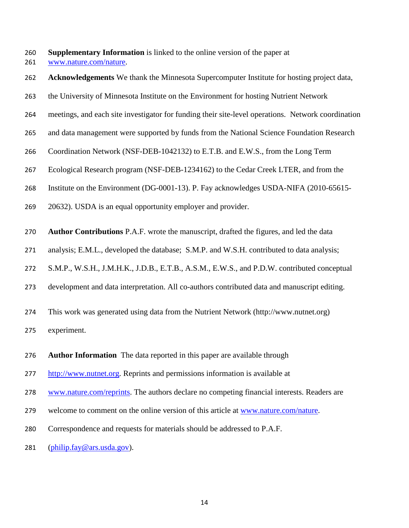**Supplementary Information** is linked to the online version of the paper at

[www.nature.com/nature.](http://www.nature.com/nature)

- **Acknowledgements** We thank the Minnesota Supercomputer Institute for hosting project data,
- the University of Minnesota Institute on the Environment for hosting Nutrient Network
- meetings, and each site investigator for funding their site-level operations. Network coordination
- and data management were supported by funds from the National Science Foundation Research
- Coordination Network (NSF-DEB-1042132) to E.T.B. and E.W.S., from the Long Term
- Ecological Research program (NSF-DEB-1234162) to the Cedar Creek LTER, and from the
- Institute on the Environment (DG-0001-13). P. Fay acknowledges USDA-NIFA (2010-65615-
- 20632). USDA is an equal opportunity employer and provider.
- **Author Contributions** P.A.F. wrote the manuscript, drafted the figures, and led the data
- analysis; E.M.L., developed the database; S.M.P. and W.S.H. contributed to data analysis;
- S.M.P., W.S.H., J.M.H.K., J.D.B., E.T.B., A.S.M., E.W.S., and P.D.W. contributed conceptual
- development and data interpretation. All co-authors contributed data and manuscript editing.
- This work was generated using data from the Nutrient Network [\(http://www.nutnet.org\)](http://www.nutnet.org/)
- experiment.
- **Author Information** The data reported in this paper are available through
- [http://www.nutnet.org.](http://www.nutnet.org/) Reprints and permissions information is available at
- [www.nature.com/reprints.](http://www.nature.com/reprints) The authors declare no competing financial interests. Readers are
- 279 welcome to comment on the online version of this article at [www.nature.com/nature.](http://www.nature.com/nature)
- Correspondence and requests for materials should be addressed to P.A.F.
- 281  $(\text{philip,fay@ars.usda.gov}).$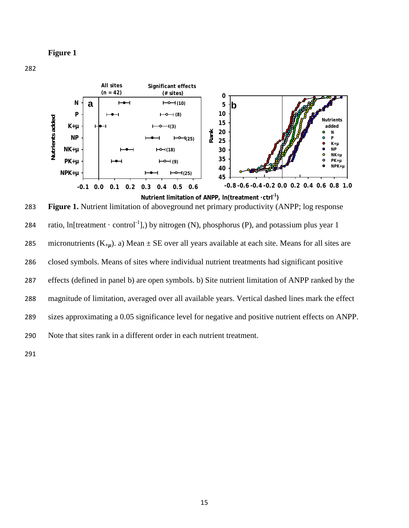**Figure 1**



283 **Figure 1.** Nutrient limitation of aboveground net primary productivity (ANPP; log response 284 ratio, ln[treatment · control<sup>-1</sup>],) by nitrogen (N), phosphorus (P), and potassium plus year 1 285 micronutrients  $(K_{+u})$ . a) Mean  $\pm$  SE over all years available at each site. Means for all sites are 286 closed symbols. Means of sites where individual nutrient treatments had significant positive 287 effects (defined in panel b) are open symbols. b) Site nutrient limitation of ANPP ranked by the 288 magnitude of limitation, averaged over all available years. Vertical dashed lines mark the effect 289 sizes approximating a 0.05 significance level for negative and positive nutrient effects on ANPP. 290 Note that sites rank in a different order in each nutrient treatment.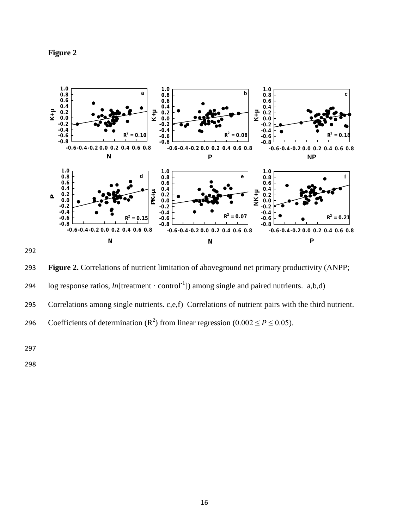





- 294  $\log$  response ratios, *ln*[treatment · control<sup>-1</sup>]) among single and paired nutrients. a,b,d)
- 295 Correlations among single nutrients. c,e,f) Correlations of nutrient pairs with the third nutrient.

Coefficients of determination  $(R^2)$  from linear regression (0.002  $\leq P \leq 0.05$ ).

297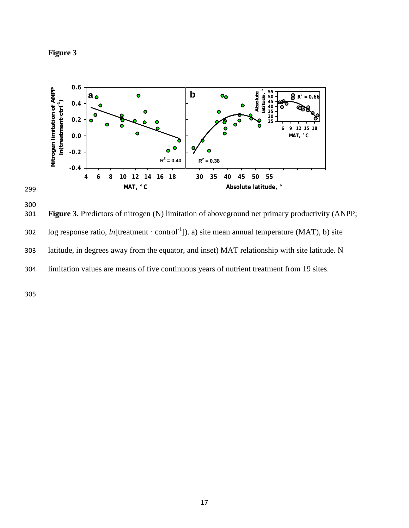



300 301 **Figure 3.** Predictors of nitrogen (N) limitation of aboveground net primary productivity (ANPP; 102 log response ratio,  $ln[$ treatment · control<sup>-1</sup>]). a) site mean annual temperature (MAT), b) site 303 latitude, in degrees away from the equator, and inset) MAT relationship with site latitude. N 304 limitation values are means of five continuous years of nutrient treatment from 19 sites.